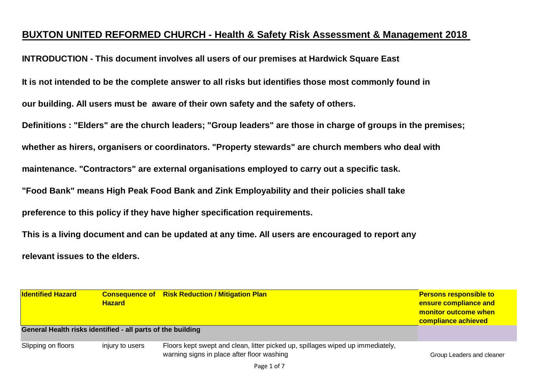## **BUXTON UNITED REFORMED CHURCH - Health & Safety Risk Assessment & Management 2018**

**INTRODUCTION - This document involves all users of our premises at Hardwick Square East**

**It is not intended to be the complete answer to all risks but identifies those most commonly found in** 

**our building. All users must be aware of their own safety and the safety of others.**

**Definitions : "Elders" are the church leaders; "Group leaders" are those in charge of groups in the premises;**

**whether as hirers, organisers or coordinators. "Property stewards" are church members who deal with** 

**maintenance. "Contractors" are external organisations employed to carry out a specific task.**

**"Food Bank" means High Peak Food Bank and Zink Employability and their policies shall take**

**preference to this policy if they have higher specification requirements.**

**This is a living document and can be updated at any time. All users are encouraged to report any**

**relevant issues to the elders.**

| <b>Identified Hazard</b>                                    | <b>Hazard</b>   | <b>Consequence of Risk Reduction / Mitigation Plan</b>                                                                       | <b>Persons responsible to</b><br>ensure compliance and<br>monitor outcome when<br>compliance achieved |
|-------------------------------------------------------------|-----------------|------------------------------------------------------------------------------------------------------------------------------|-------------------------------------------------------------------------------------------------------|
| General Health risks identified - all parts of the building |                 |                                                                                                                              |                                                                                                       |
| Slipping on floors                                          | injury to users | Floors kept swept and clean, litter picked up, spillages wiped up immediately,<br>warning signs in place after floor washing | Group Leaders and cleaner                                                                             |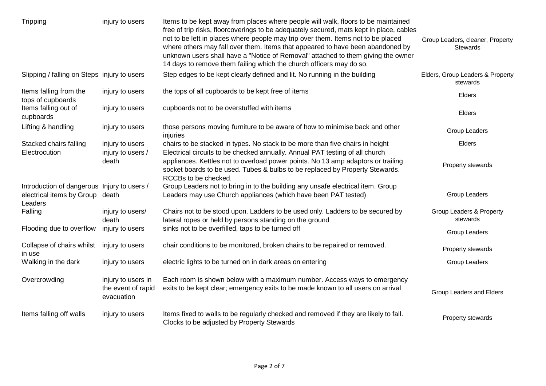| Tripping                                                                            | injury to users                                        | Items to be kept away from places where people will walk, floors to be maintained<br>free of trip risks, floorcoverings to be adequately secured, mats kept in place, cables<br>not to be left in places where people may trip over them. Items not to be placed<br>where others may fall over them. Items that appeared to have been abandoned by<br>unknown users shall have a "Notice of Removal" attached to them giving the owner<br>14 days to remove them failing which the church officers may do so. | Group Leaders, cleaner, Property<br><b>Stewards</b> |
|-------------------------------------------------------------------------------------|--------------------------------------------------------|---------------------------------------------------------------------------------------------------------------------------------------------------------------------------------------------------------------------------------------------------------------------------------------------------------------------------------------------------------------------------------------------------------------------------------------------------------------------------------------------------------------|-----------------------------------------------------|
| Slipping / falling on Steps injury to users                                         |                                                        | Step edges to be kept clearly defined and lit. No running in the building                                                                                                                                                                                                                                                                                                                                                                                                                                     | Elders, Group Leaders & Property<br>stewards        |
| Items falling from the<br>tops of cupboards                                         | injury to users                                        | the tops of all cupboards to be kept free of items                                                                                                                                                                                                                                                                                                                                                                                                                                                            | Elders                                              |
| Items falling out of<br>cupboards                                                   | injury to users                                        | cupboards not to be overstuffed with items                                                                                                                                                                                                                                                                                                                                                                                                                                                                    | Elders                                              |
| Lifting & handling                                                                  | injury to users                                        | those persons moving furniture to be aware of how to minimise back and other<br>injuries                                                                                                                                                                                                                                                                                                                                                                                                                      | Group Leaders                                       |
| Stacked chairs falling                                                              | injury to users                                        | chairs to be stacked in types. No stack to be more than five chairs in height                                                                                                                                                                                                                                                                                                                                                                                                                                 | Elders                                              |
| Electrocution                                                                       | injury to users /<br>death                             | Electrical circuits to be checked annually. Annual PAT testing of all church<br>appliances. Kettles not to overload power points. No 13 amp adaptors or trailing<br>socket boards to be used. Tubes & bulbs to be replaced by Property Stewards.<br>RCCBs to be checked.                                                                                                                                                                                                                                      | Property stewards                                   |
| Introduction of dangerous Injury to users /<br>electrical items by Group<br>Leaders | death                                                  | Group Leaders not to bring in to the building any unsafe electrical item. Group<br>Leaders may use Church appliances (which have been PAT tested)                                                                                                                                                                                                                                                                                                                                                             | Group Leaders                                       |
| Falling                                                                             | injury to users/<br>death                              | Chairs not to be stood upon. Ladders to be used only. Ladders to be secured by<br>lateral ropes or held by persons standing on the ground                                                                                                                                                                                                                                                                                                                                                                     | Group Leaders & Property<br>stewards                |
| Flooding due to overflow                                                            | injury to users                                        | sinks not to be overfilled, taps to be turned off                                                                                                                                                                                                                                                                                                                                                                                                                                                             | Group Leaders                                       |
| Collapse of chairs whilst<br>in use                                                 | injury to users                                        | chair conditions to be monitored, broken chairs to be repaired or removed.                                                                                                                                                                                                                                                                                                                                                                                                                                    | Property stewards                                   |
| Walking in the dark                                                                 | injury to users                                        | electric lights to be turned on in dark areas on entering                                                                                                                                                                                                                                                                                                                                                                                                                                                     | Group Leaders                                       |
| Overcrowding                                                                        | injury to users in<br>the event of rapid<br>evacuation | Each room is shown below with a maximum number. Access ways to emergency<br>exits to be kept clear; emergency exits to be made known to all users on arrival                                                                                                                                                                                                                                                                                                                                                  | Group Leaders and Elders                            |
| Items falling off walls                                                             | injury to users                                        | Items fixed to walls to be regularly checked and removed if they are likely to fall.<br>Clocks to be adjusted by Property Stewards                                                                                                                                                                                                                                                                                                                                                                            | Property stewards                                   |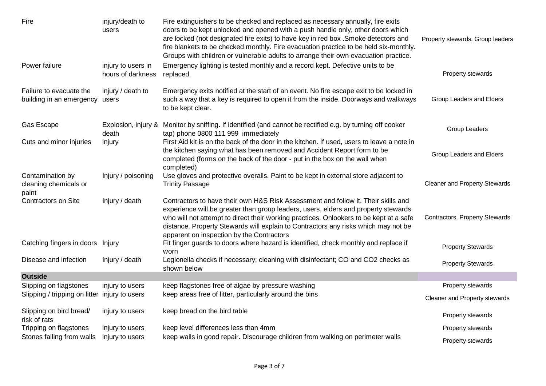| Fire                                                      | injury/death to<br>users                | Fire extinguishers to be checked and replaced as necessary annually, fire exits<br>doors to be kept unlocked and opened with a push handle only, other doors which<br>are locked (not designated fire exits) to have key in red box . Smoke detectors and<br>fire blankets to be checked monthly. Fire evacuation practice to be held six-monthly.<br>Groups with children or vulnerable adults to arrange their own evacuation practice. | Property stewards. Group leaders     |
|-----------------------------------------------------------|-----------------------------------------|-------------------------------------------------------------------------------------------------------------------------------------------------------------------------------------------------------------------------------------------------------------------------------------------------------------------------------------------------------------------------------------------------------------------------------------------|--------------------------------------|
| Power failure                                             | injury to users in<br>hours of darkness | Emergency lighting is tested monthly and a record kept. Defective units to be<br>replaced.                                                                                                                                                                                                                                                                                                                                                | Property stewards                    |
| Failure to evacuate the<br>building in an emergency users | injury / death to                       | Emergency exits notified at the start of an event. No fire escape exit to be locked in<br>such a way that a key is required to open it from the inside. Doorways and walkways<br>to be kept clear.                                                                                                                                                                                                                                        | Group Leaders and Elders             |
| Gas Escape                                                | death                                   | Explosion, injury & Monitor by sniffing. If identified (and cannot be rectified e.g. by turning off cooker<br>tap) phone 0800 111 999 immediately                                                                                                                                                                                                                                                                                         | Group Leaders                        |
| Cuts and minor injuries                                   | injury                                  | First Aid kit is on the back of the door in the kitchen. If used, users to leave a note in<br>the kitchen saying what has been removed and Accident Report form to be<br>completed (forms on the back of the door - put in the box on the wall when<br>completed)                                                                                                                                                                         | Group Leaders and Elders             |
| Contamination by<br>cleaning chemicals or<br>paint        | Injury / poisoning                      | Use gloves and protective overalls. Paint to be kept in external store adjacent to<br><b>Trinity Passage</b>                                                                                                                                                                                                                                                                                                                              | <b>Cleaner and Property Stewards</b> |
| <b>Contractors on Site</b>                                | Injury / death                          | Contractors to have their own H&S Risk Assessment and follow it. Their skills and<br>experience will be greater than group leaders, users, elders and property stewards<br>who will not attempt to direct their working practices. Onlookers to be kept at a safe<br>distance. Property Stewards will explain to Contractors any risks which may not be<br>apparent on inspection by the Contractors                                      | Contractors, Property Stewards       |
| Catching fingers in doors Injury                          |                                         | Fit finger guards to doors where hazard is identified, check monthly and replace if<br>worn                                                                                                                                                                                                                                                                                                                                               | <b>Property Stewards</b>             |
| Disease and infection                                     | Injury / death                          | Legionella checks if necessary; cleaning with disinfectant; CO and CO2 checks as<br>shown below                                                                                                                                                                                                                                                                                                                                           | <b>Property Stewards</b>             |
| <b>Outside</b>                                            |                                         |                                                                                                                                                                                                                                                                                                                                                                                                                                           |                                      |
| Slipping on flagstones                                    | injury to users                         | keep flagstones free of algae by pressure washing                                                                                                                                                                                                                                                                                                                                                                                         | Property stewards                    |
| Slipping / tripping on litter injury to users             |                                         | keep areas free of litter, particularly around the bins                                                                                                                                                                                                                                                                                                                                                                                   | Cleaner and Property stewards        |
| Slipping on bird bread/<br>risk of rats                   | injury to users                         | keep bread on the bird table                                                                                                                                                                                                                                                                                                                                                                                                              | Property stewards                    |
| Tripping on flagstones                                    | injury to users                         | keep level differences less than 4mm                                                                                                                                                                                                                                                                                                                                                                                                      | Property stewards                    |
| Stones falling from walls                                 | injury to users                         | keep walls in good repair. Discourage children from walking on perimeter walls                                                                                                                                                                                                                                                                                                                                                            | <b>Property stewards</b>             |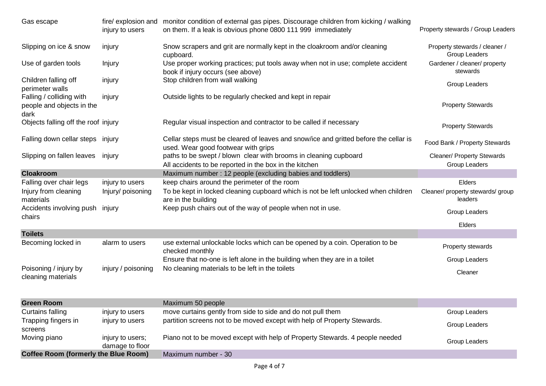| Gas escape                                                    | injury to users                     | fire/ explosion and monitor condition of external gas pipes. Discourage children from kicking / walking<br>on them. If a leak is obvious phone 0800 111 999 immediately | Property stewards / Group Leaders              |
|---------------------------------------------------------------|-------------------------------------|-------------------------------------------------------------------------------------------------------------------------------------------------------------------------|------------------------------------------------|
| Slipping on ice & snow                                        | injury                              | Snow scrapers and grit are normally kept in the cloakroom and/or cleaning<br>cupboard.                                                                                  | Property stewards / cleaner /<br>Group Leaders |
| Use of garden tools                                           | Injury                              | Use proper working practices; put tools away when not in use; complete accident<br>book if injury occurs (see above)                                                    | Gardener / cleaner/ property<br>stewards       |
| Children falling off<br>perimeter walls                       | injury                              | Stop children from wall walking                                                                                                                                         | Group Leaders                                  |
| Falling / colliding with<br>people and objects in the<br>dark | injury                              | Outside lights to be regularly checked and kept in repair                                                                                                               | <b>Property Stewards</b>                       |
| Objects falling off the roof injury                           |                                     | Regular visual inspection and contractor to be called if necessary                                                                                                      | <b>Property Stewards</b>                       |
| Falling down cellar steps injury                              |                                     | Cellar steps must be cleared of leaves and snow/ice and gritted before the cellar is<br>used. Wear good footwear with grips                                             | Food Bank / Property Stewards                  |
| Slipping on fallen leaves                                     | injury                              | paths to be swept / blown clear with brooms in cleaning cupboard<br>All accidents to be reported in the box in the kitchen                                              | Cleaner/ Property Stewards<br>Group Leaders    |
| <b>Cloakroom</b>                                              |                                     | Maximum number: 12 people (excluding babies and toddlers)                                                                                                               |                                                |
| Falling over chair legs                                       | injury to users                     | keep chairs around the perimeter of the room                                                                                                                            | Elders                                         |
| Injury from cleaning<br>materials                             | Injury/ poisoning                   | To be kept in locked cleaning cupboard which is not be left unlocked when children<br>are in the building                                                               | Cleaner/ property stewards/ group<br>leaders   |
| Accidents involving push<br>chairs                            | injury                              | Keep push chairs out of the way of people when not in use.                                                                                                              | Group Leaders                                  |
|                                                               |                                     |                                                                                                                                                                         | Elders                                         |
| <b>Toilets</b>                                                |                                     |                                                                                                                                                                         |                                                |
| Becoming locked in                                            | alarm to users                      | use external unlockable locks which can be opened by a coin. Operation to be<br>checked monthly                                                                         | Property stewards                              |
|                                                               |                                     | Ensure that no-one is left alone in the building when they are in a toilet                                                                                              | Group Leaders                                  |
| Poisoning / injury by<br>cleaning materials                   | injury / poisoning                  | No cleaning materials to be left in the toilets                                                                                                                         | Cleaner                                        |
| <b>Green Room</b>                                             |                                     | Maximum 50 people                                                                                                                                                       |                                                |
| Curtains falling                                              | injury to users                     | move curtains gently from side to side and do not pull them                                                                                                             | Group Leaders                                  |
| Trapping fingers in<br>screens                                | injury to users                     | partition screens not to be moved except with help of Property Stewards.                                                                                                | Group Leaders                                  |
| Moving piano                                                  | injury to users;<br>damage to floor | Piano not to be moved except with help of Property Stewards. 4 people needed                                                                                            | Group Leaders                                  |
| <b>Coffee Room (formerly the Blue Room)</b>                   |                                     | Maximum number - 30                                                                                                                                                     |                                                |
|                                                               |                                     |                                                                                                                                                                         |                                                |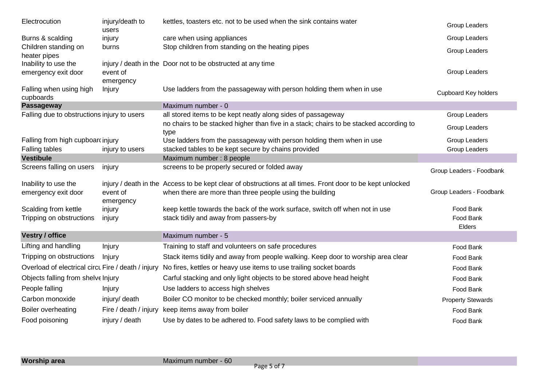| Electrocution                               | injury/death to<br>users | kettles, toasters etc. not to be used when the sink contains water                                                                                                     | Group Leaders               |
|---------------------------------------------|--------------------------|------------------------------------------------------------------------------------------------------------------------------------------------------------------------|-----------------------------|
| Burns & scalding                            | injury                   | care when using appliances                                                                                                                                             | Group Leaders               |
| Children standing on<br>heater pipes        | burns                    | Stop children from standing on the heating pipes                                                                                                                       | Group Leaders               |
| Inability to use the<br>emergency exit door | event of                 | injury / death in the Door not to be obstructed at any time                                                                                                            | Group Leaders               |
| Falling when using high<br>cupboards        | emergency<br>Injury      | Use ladders from the passageway with person holding them when in use                                                                                                   | <b>Cupboard Key holders</b> |
| Passageway                                  |                          | Maximum number - 0                                                                                                                                                     |                             |
| Falling due to obstructions injury to users |                          | all stored items to be kept neatly along sides of passageway                                                                                                           | Group Leaders               |
|                                             |                          | no chairs to be stacked higher than five in a stack; chairs to be stacked according to<br>type                                                                         | Group Leaders               |
| Falling from high cupboarcinjury            |                          | Use ladders from the passageway with person holding them when in use                                                                                                   | Group Leaders               |
| Falling tables                              | injury to users          | stacked tables to be kept secure by chains provided                                                                                                                    | Group Leaders               |
| <b>Vestibule</b>                            |                          | Maximum number: 8 people                                                                                                                                               |                             |
| Screens falling on users                    | injury                   | screens to be properly secured or folded away                                                                                                                          | Group Leaders - Foodbank    |
| Inability to use the<br>emergency exit door | event of<br>emergency    | injury / death in the Access to be kept clear of obstructions at all times. Front door to be kept unlocked<br>when there are more than three people using the building | Group Leaders - Foodbank    |
| Scalding from kettle                        | injury                   | keep kettle towards the back of the work surface, switch off when not in use                                                                                           | Food Bank                   |
| Tripping on obstructions                    | injury                   | stack tidily and away from passers-by                                                                                                                                  | Food Bank<br>Elders         |
| <b>Vestry / office</b>                      |                          | Maximum number - 5                                                                                                                                                     |                             |
| Lifting and handling                        | Injury                   | Training to staff and volunteers on safe procedures                                                                                                                    | Food Bank                   |
| Tripping on obstructions                    | Injury                   | Stack items tidily and away from people walking. Keep door to worship area clear                                                                                       | Food Bank                   |
|                                             |                          | Overload of electrical circu Fire / death / injury No fires, kettles or heavy use items to use trailing socket boards                                                  | Food Bank                   |
| Objects falling from shelve Injury          |                          | Carful stacking and only light objects to be stored above head height                                                                                                  | Food Bank                   |
| People falling                              | Injury                   | Use ladders to access high shelves                                                                                                                                     | Food Bank                   |
| Carbon monoxide                             | injury/ death            | Boiler CO monitor to be checked monthly; boiler serviced annually                                                                                                      | <b>Property Stewards</b>    |
| Boiler overheating                          | Fire / death / injury    | keep items away from boiler                                                                                                                                            | Food Bank                   |
| Food poisoning                              | injury / death           | Use by dates to be adhered to. Food safety laws to be complied with                                                                                                    | Food Bank                   |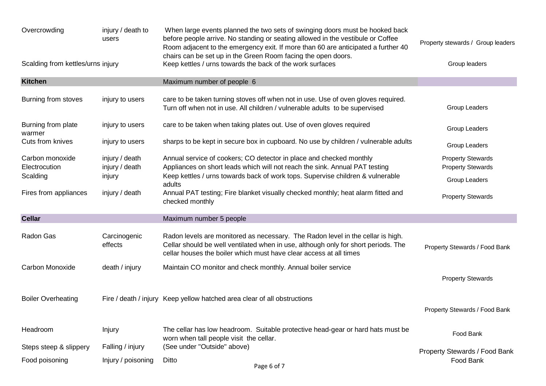| Overcrowding                      | injury / death to<br>users       | When large events planned the two sets of swinging doors must be hooked back<br>before people arrive. No standing or seating allowed in the vestibule or Coffee<br>Room adjacent to the emergency exit. If more than 60 are anticipated a further 40<br>chairs can be set up in the Green Room facing the open doors. | Property stewards / Group leaders                    |
|-----------------------------------|----------------------------------|-----------------------------------------------------------------------------------------------------------------------------------------------------------------------------------------------------------------------------------------------------------------------------------------------------------------------|------------------------------------------------------|
| Scalding from kettles/urns injury |                                  | Keep kettles / urns towards the back of the work surfaces                                                                                                                                                                                                                                                             | Group leaders                                        |
| <b>Kitchen</b>                    |                                  | Maximum number of people 6                                                                                                                                                                                                                                                                                            |                                                      |
| Burning from stoves               | injury to users                  | care to be taken turning stoves off when not in use. Use of oven gloves required.<br>Turn off when not in use. All children / vulnerable adults to be supervised                                                                                                                                                      | Group Leaders                                        |
| Burning from plate<br>warmer      | injury to users                  | care to be taken when taking plates out. Use of oven gloves required                                                                                                                                                                                                                                                  | Group Leaders                                        |
| Cuts from knives                  | injury to users                  | sharps to be kept in secure box in cupboard. No use by children / vulnerable adults                                                                                                                                                                                                                                   | Group Leaders                                        |
| Carbon monoxide<br>Electrocution  | injury / death<br>injury / death | Annual service of cookers; CO detector in place and checked monthly<br>Appliances on short leads which will not reach the sink. Annual PAT testing                                                                                                                                                                    | <b>Property Stewards</b><br><b>Property Stewards</b> |
| Scalding                          | injury                           | Keep kettles / urns towards back of work tops. Supervise children & vulnerable<br>adults                                                                                                                                                                                                                              | Group Leaders                                        |
| Fires from appliances             | injury / death                   | Annual PAT testing; Fire blanket visually checked monthly; heat alarm fitted and<br>checked monthly                                                                                                                                                                                                                   | <b>Property Stewards</b>                             |
| <b>Cellar</b>                     |                                  | Maximum number 5 people                                                                                                                                                                                                                                                                                               |                                                      |
| Radon Gas                         | Carcinogenic<br>effects          | Radon levels are monitored as necessary. The Radon level in the cellar is high.<br>Cellar should be well ventilated when in use, although only for short periods. The<br>cellar houses the boiler which must have clear access at all times                                                                           | Property Stewards / Food Bank                        |
| Carbon Monoxide                   | death / injury                   | Maintain CO monitor and check monthly. Annual boiler service                                                                                                                                                                                                                                                          | <b>Property Stewards</b>                             |
| <b>Boiler Overheating</b>         |                                  | Fire / death / injury Keep yellow hatched area clear of all obstructions                                                                                                                                                                                                                                              | Property Stewards / Food Bank                        |
| Headroom                          | Injury                           | The cellar has low headroom. Suitable protective head-gear or hard hats must be<br>worn when tall people visit the cellar.                                                                                                                                                                                            | Food Bank                                            |
| Steps steep & slippery            | Falling / injury                 | (See under "Outside" above)                                                                                                                                                                                                                                                                                           | Property Stewards / Food Bank                        |
| Food poisoning                    | Injury / poisoning               | Ditto<br>Page 6 of 7                                                                                                                                                                                                                                                                                                  | Food Bank                                            |